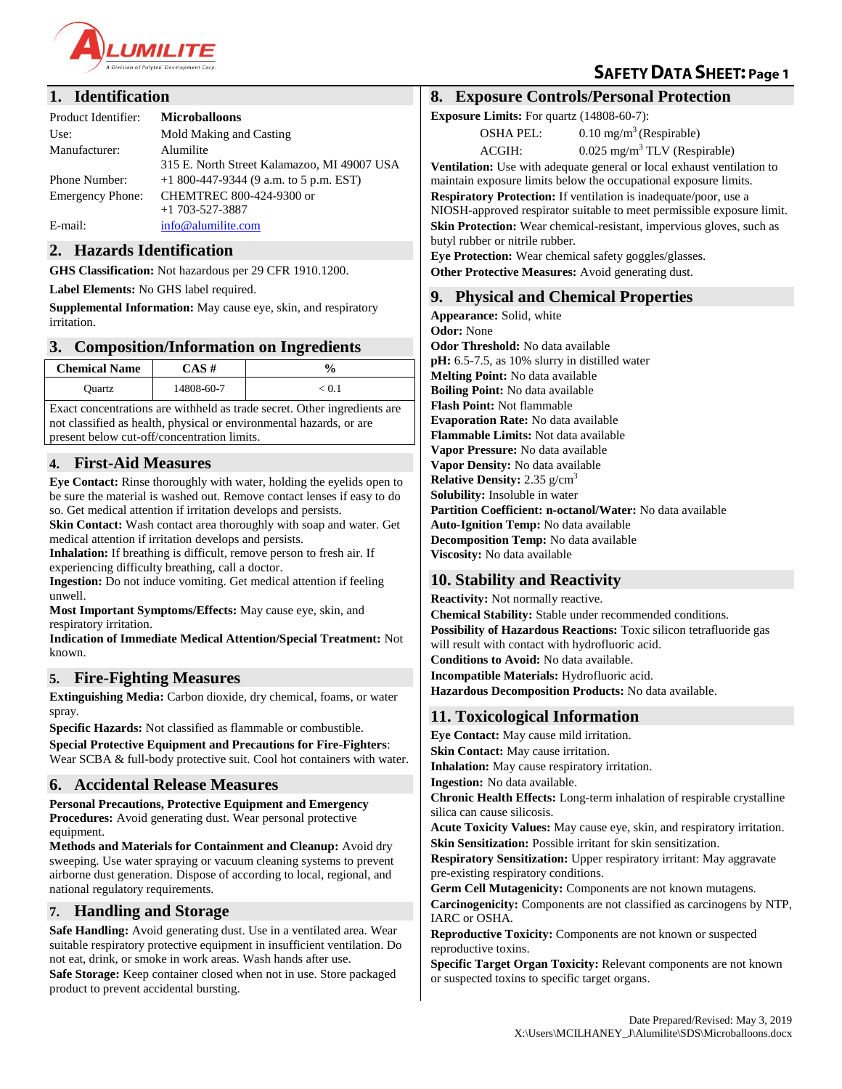

## **1. Identification**

| Product Identifier:     | <b>Microballoons</b>                        |
|-------------------------|---------------------------------------------|
| Use:                    | Mold Making and Casting                     |
| Manufacturer:           | Alumilite                                   |
|                         | 315 E. North Street Kalamazoo, MI 49007 USA |
| Phone Number:           | $+1800-447-9344$ (9 a.m. to 5 p.m. EST)     |
| <b>Emergency Phone:</b> | CHEMTREC 800-424-9300 or                    |
|                         | $+1$ 703-527-3887                           |
| E-mail:                 | info@alumilite.com                          |

## **2. Hazards Identification**

**GHS Classification:** Not hazardous per 29 CFR 1910.1200.

**Label Elements:** No GHS label required.

**Supplemental Information:** May cause eye, skin, and respiratory irritation.

## **3. Composition/Information on Ingredients**

| <b>Chemical Name</b> | $\mathbb{A}\mathbf{S}$ # | $\frac{6}{9}$ |
|----------------------|--------------------------|---------------|
| Ouartz               | 14808-60-7               | $\theta$ .    |

Exact concentrations are withheld as trade secret. Other ingredients are not classified as health, physical or environmental hazards, or are present below cut-off/concentration limits.

## **4. First-Aid Measures**

**Eye Contact:** Rinse thoroughly with water, holding the eyelids open to be sure the material is washed out. Remove contact lenses if easy to do so. Get medical attention if irritation develops and persists.

**Skin Contact:** Wash contact area thoroughly with soap and water. Get medical attention if irritation develops and persists.

**Inhalation:** If breathing is difficult, remove person to fresh air. If experiencing difficulty breathing, call a doctor.

**Ingestion:** Do not induce vomiting. Get medical attention if feeling unwell.

**Most Important Symptoms/Effects:** May cause eye, skin, and respiratory irritation.

**Indication of Immediate Medical Attention/Special Treatment:** Not known.

## **5. Fire-Fighting Measures**

**Extinguishing Media:** Carbon dioxide, dry chemical, foams, or water spray.

**Specific Hazards:** Not classified as flammable or combustible.

**Special Protective Equipment and Precautions for Fire-Fighters**: Wear SCBA & full-body protective suit. Cool hot containers with water.

## **6. Accidental Release Measures**

**Personal Precautions, Protective Equipment and Emergency Procedures:** Avoid generating dust. Wear personal protective equipment.

**Methods and Materials for Containment and Cleanup:** Avoid dry sweeping. Use water spraying or vacuum cleaning systems to prevent airborne dust generation. Dispose of according to local, regional, and national regulatory requirements.

## **7. Handling and Storage**

**Safe Handling:** Avoid generating dust. Use in a ventilated area. Wear suitable respiratory protective equipment in insufficient ventilation. Do not eat, drink, or smoke in work areas. Wash hands after use. **Safe Storage:** Keep container closed when not in use. Store packaged product to prevent accidental bursting.

# **SAFETY DATA SHEET: Page 1**

## **8. Exposure Controls/Personal Protection**

| <b>Exposure Limits:</b> For quartz $(14808-60-7)$ : |                                            |  |
|-----------------------------------------------------|--------------------------------------------|--|
| <b>OSHA PEL:</b>                                    | $0.10$ mg/m <sup>3</sup> (Respirable)      |  |
| ACGIH:                                              | $0.025$ mg/m <sup>3</sup> TLV (Respirable) |  |

**Ventilation:** Use with adequate general or local exhaust ventilation to maintain exposure limits below the occupational exposure limits.

**Respiratory Protection:** If ventilation is inadequate/poor, use a NIOSH-approved respirator suitable to meet permissible exposure limit. **Skin Protection:** Wear chemical-resistant, impervious gloves, such as butyl rubber or nitrile rubber.

**Eye Protection:** Wear chemical safety goggles/glasses. **Other Protective Measures:** Avoid generating dust.

## **9. Physical and Chemical Properties**

**Appearance:** Solid, white **Odor:** None **Odor Threshold:** No data available **pH:** 6.5-7.5, as 10% slurry in distilled water

**Melting Point:** No data available **Boiling Point:** No data available **Flash Point:** Not flammable **Evaporation Rate:** No data available **Flammable Limits:** Not data available **Vapor Pressure:** No data available **Vapor Density:** No data available **Relative Density:** 2.35 g/cm<sup>3</sup> **Solubility:** Insoluble in water **Partition Coefficient: n-octanol/Water:** No data available **Auto-Ignition Temp:** No data available **Decomposition Temp:** No data available **Viscosity:** No data available

## **10. Stability and Reactivity**

**Reactivity:** Not normally reactive. **Chemical Stability:** Stable under recommended conditions. **Possibility of Hazardous Reactions:** Toxic silicon tetrafluoride gas will result with contact with hydrofluoric acid. **Conditions to Avoid:** No data available. **Incompatible Materials:** Hydrofluoric acid. **Hazardous Decomposition Products:** No data available.

## **11. Toxicological Information**

**Eye Contact:** May cause mild irritation. **Skin Contact:** May cause irritation. **Inhalation:** May cause respiratory irritation. **Ingestion:** No data available.

**Chronic Health Effects:** Long-term inhalation of respirable crystalline silica can cause silicosis.

**Acute Toxicity Values:** May cause eye, skin, and respiratory irritation. **Skin Sensitization:** Possible irritant for skin sensitization.

**Respiratory Sensitization:** Upper respiratory irritant: May aggravate pre-existing respiratory conditions.

**Germ Cell Mutagenicity:** Components are not known mutagens. **Carcinogenicity:** Components are not classified as carcinogens by NTP, IARC or OSHA.

**Reproductive Toxicity:** Components are not known or suspected reproductive toxins.

**Specific Target Organ Toxicity:** Relevant components are not known or suspected toxins to specific target organs.